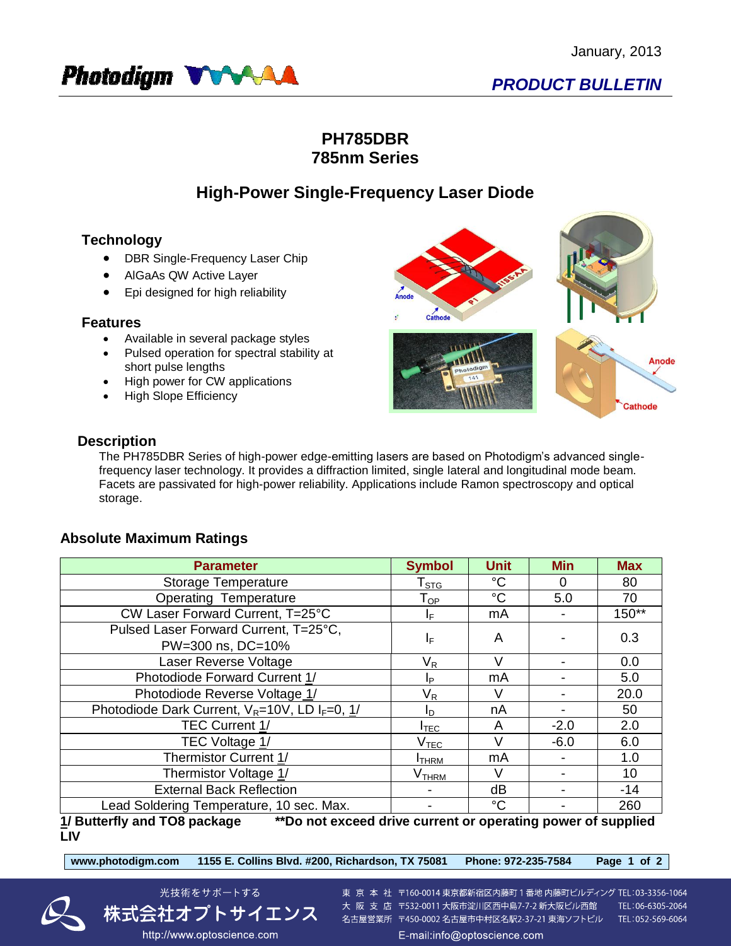

## **PH785DBR 785nm Series**

# **High-Power Single-Frequency Laser Diode**

## **Technology**

- DBR Single-Frequency Laser Chip
- AlGaAs QW Active Layer
- Epi designed for high reliability

### **Features**

- Available in several package styles
- Pulsed operation for spectral stability at short pulse lengths
- High power for CW applications
- High Slope Efficiency



### **Description**

The PH785DBR Series of high-power edge-emitting lasers are based on Photodigm's advanced singlefrequency laser technology. It provides a diffraction limited, single lateral and longitudinal mode beam. Facets are passivated for high-power reliability. Applications include Ramon spectroscopy and optical storage.

## **Absolute Maximum Ratings**

| <b>Parameter</b>                                                                             | <b>Symbol</b>                | <b>Unit</b> | <b>Min</b> | <b>Max</b> |  |  |  |
|----------------------------------------------------------------------------------------------|------------------------------|-------------|------------|------------|--|--|--|
| Storage Temperature                                                                          | ${\sf T}_{\text{STG}}$       | $^{\circ}C$ | 0          | 80         |  |  |  |
| <b>Operating Temperature</b>                                                                 | $\mathsf{T}_{\mathsf{OP}}$   | $^{\circ}C$ | 5.0        | 70         |  |  |  |
| CW Laser Forward Current, T=25°C                                                             | IF.                          | mA          |            | $150**$    |  |  |  |
| Pulsed Laser Forward Current, T=25°C,<br>PW=300 ns, DC=10%                                   | ΙF                           | A           |            | 0.3        |  |  |  |
| Laser Reverse Voltage                                                                        | $\mathsf{V}_\mathsf{R}$      | V           |            | 0.0        |  |  |  |
| Photodiode Forward Current 1/                                                                | Ip.                          | mA          |            | 5.0        |  |  |  |
| Photodiode Reverse Voltage 1/                                                                | $V_{R}$                      | $\vee$      |            | 20.0       |  |  |  |
| Photodiode Dark Current, $V_R = 10V$ , LD I <sub>F</sub> =0, 1/                              | I <sub>D</sub>               | nA          |            | 50         |  |  |  |
| <b>TEC Current 1/</b>                                                                        | $I_{\mathsf{TEC}}$           | A           | $-2.0$     | 2.0        |  |  |  |
| TEC Voltage 1/                                                                               | V <sub>TEC</sub>             | $\vee$      | $-6.0$     | 6.0        |  |  |  |
| Thermistor Current 1/                                                                        | <b>I</b> THRM                | mA          |            | 1.0        |  |  |  |
| Thermistor Voltage 1/                                                                        | $\mathsf{V}_{\mathsf{THRM}}$ | V           |            | 10         |  |  |  |
| <b>External Back Reflection</b>                                                              |                              | dB          |            | $-14$      |  |  |  |
| Lead Soldering Temperature, 10 sec. Max.                                                     |                              | $^{\circ}C$ |            | 260        |  |  |  |
| 1/ Putterfly and TOP neekees<br>**De not exaced drive ourrant or energting newer of cunnlied |                              |             |            |            |  |  |  |

**1/ Butterfly and TO8 package \*\*Do not exceed drive current or operating power of supplied LIV**



東 京 本 社 〒160-0014 東京都新宿区内藤町 1 番地 内藤町ビルディング TEL:03-3356-1064 大阪支店 〒532-0011 大阪市淀川区西中島7-7-2 新大阪ビル西館 TEL:06-6305-2064 名古屋営業所 〒450-0002 名古屋市中村区名駅2-37-21 東海ソフトビル TEL:052-569-6064

http://www.optoscience.com

光技術をサポートする

株式会社オプトサイエンス

E-mail:info@optoscience.com